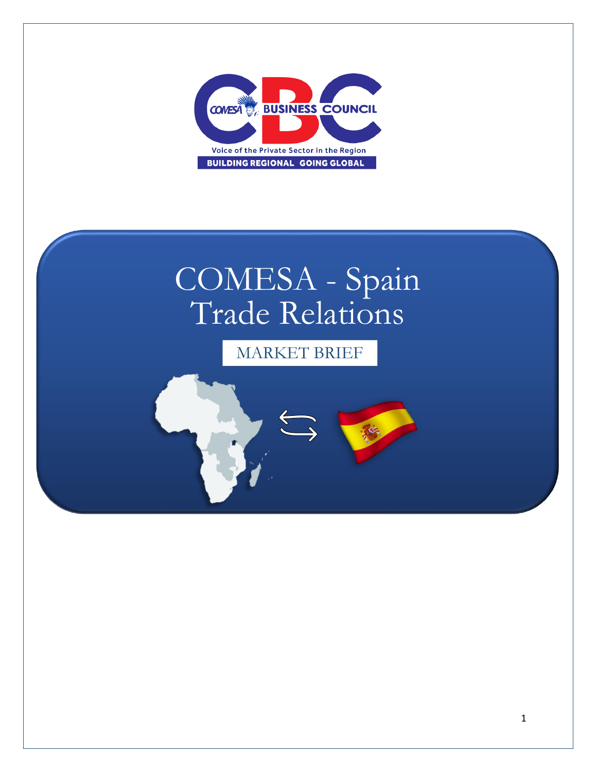

# COMESA - Spain Trade Relations

MARKET BRIEF

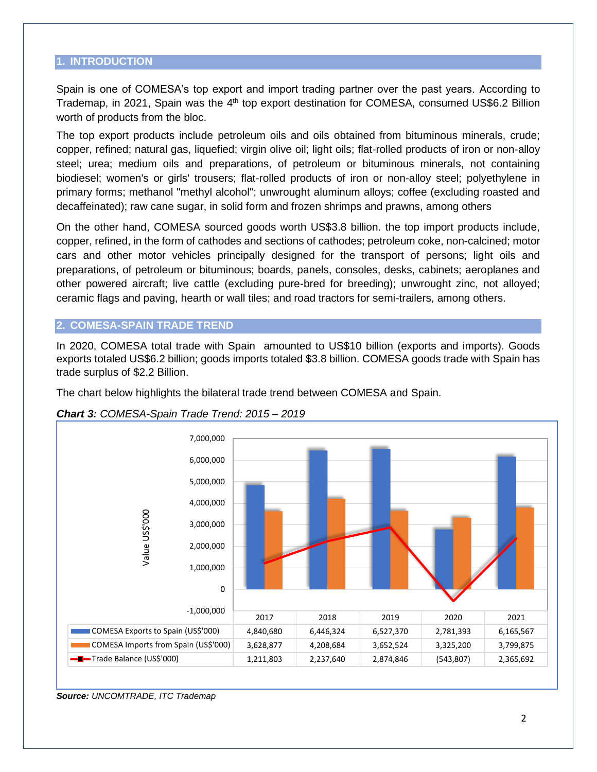#### **1. INTRODUCTION**

Spain is one of COMESA's top export and import trading partner over the past years. According to Trademap, in 2021, Spain was the 4<sup>th</sup> top export destination for COMESA, consumed US\$6.2 Billion worth of products from the bloc.

The top export products include petroleum oils and oils obtained from bituminous minerals, crude; copper, refined; natural gas, liquefied; virgin olive oil; light oils; flat-rolled products of iron or non-alloy steel; urea; medium oils and preparations, of petroleum or bituminous minerals, not containing biodiesel; women's or girls' trousers; flat-rolled products of iron or non-alloy steel; polyethylene in primary forms; methanol "methyl alcohol"; unwrought aluminum alloys; coffee (excluding roasted and decaffeinated); raw cane sugar, in solid form and frozen shrimps and prawns, among others

On the other hand, COMESA sourced goods worth US\$3.8 billion. the top import products include, copper, refined, in the form of cathodes and sections of cathodes; petroleum coke, non-calcined; motor cars and other motor vehicles principally designed for the transport of persons; light oils and preparations, of petroleum or bituminous; boards, panels, consoles, desks, cabinets; aeroplanes and other powered aircraft; live cattle (excluding pure-bred for breeding); unwrought zinc, not alloyed; ceramic flags and paving, hearth or wall tiles; and road tractors for semi-trailers, among others.

#### **2. COMESA-SPAIN TRADE TREND**

In 2020, COMESA total trade with Spain amounted to US\$10 billion (exports and imports). Goods exports totaled US\$6.2 billion; goods imports totaled \$3.8 billion. COMESA goods trade with Spain has trade surplus of \$2.2 Billion.

The chart below highlights the bilateral trade trend between COMESA and Spain.





*Source: UNCOMTRADE, ITC Trademap*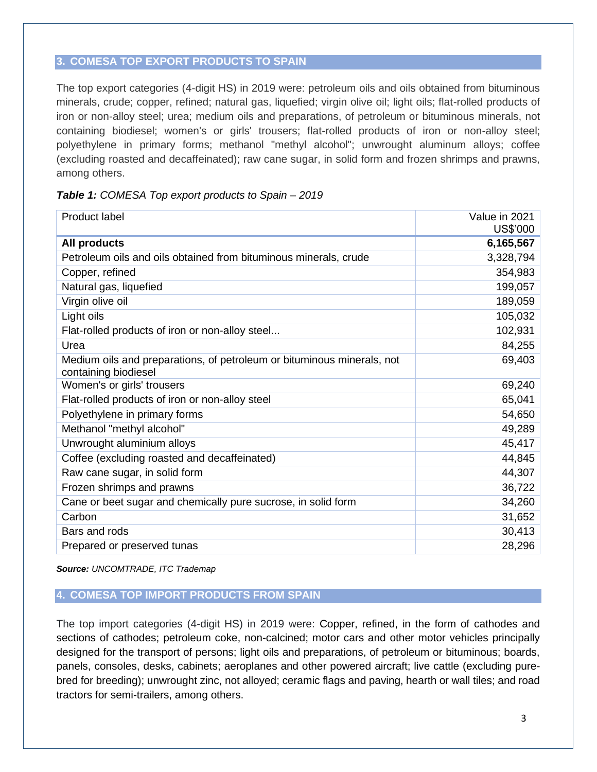### **3. COMESA TOP EXPORT PRODUCTS TO SPAIN**

The top export categories (4-digit HS) in 2019 were: petroleum oils and oils obtained from bituminous minerals, crude; copper, refined; natural gas, liquefied; virgin olive oil; light oils; flat-rolled products of iron or non-alloy steel; urea; medium oils and preparations, of petroleum or bituminous minerals, not containing biodiesel; women's or girls' trousers; flat-rolled products of iron or non-alloy steel; polyethylene in primary forms; methanol "methyl alcohol"; unwrought aluminum alloys; coffee (excluding roasted and decaffeinated); raw cane sugar, in solid form and frozen shrimps and prawns, among others.

| Table 1: COMESA Top export products to Spain - 2019 |  |  |  |  |
|-----------------------------------------------------|--|--|--|--|
|-----------------------------------------------------|--|--|--|--|

| <b>Product label</b>                                                                           | Value in 2021<br>US\$'000 |
|------------------------------------------------------------------------------------------------|---------------------------|
| All products                                                                                   | 6,165,567                 |
| Petroleum oils and oils obtained from bituminous minerals, crude                               | 3,328,794                 |
| Copper, refined                                                                                | 354,983                   |
| Natural gas, liquefied                                                                         | 199,057                   |
| Virgin olive oil                                                                               | 189,059                   |
| Light oils                                                                                     | 105,032                   |
| Flat-rolled products of iron or non-alloy steel                                                | 102,931                   |
| Urea                                                                                           | 84,255                    |
| Medium oils and preparations, of petroleum or bituminous minerals, not<br>containing biodiesel | 69,403                    |
| Women's or girls' trousers                                                                     | 69,240                    |
| Flat-rolled products of iron or non-alloy steel                                                | 65,041                    |
| Polyethylene in primary forms                                                                  | 54,650                    |
| Methanol "methyl alcohol"                                                                      | 49,289                    |
| Unwrought aluminium alloys                                                                     | 45,417                    |
| Coffee (excluding roasted and decaffeinated)                                                   | 44,845                    |
| Raw cane sugar, in solid form                                                                  | 44,307                    |
| Frozen shrimps and prawns                                                                      | 36,722                    |
| Cane or beet sugar and chemically pure sucrose, in solid form                                  | 34,260                    |
| Carbon                                                                                         | 31,652                    |
| Bars and rods                                                                                  | 30,413                    |
| Prepared or preserved tunas                                                                    | 28,296                    |

*Source: UNCOMTRADE, ITC Trademap*

#### **4. COMESA TOP IMPORT PRODUCTS FROM SPAIN**

The top import categories (4-digit HS) in 2019 were: Copper, refined, in the form of cathodes and sections of cathodes; petroleum coke, non-calcined; motor cars and other motor vehicles principally designed for the transport of persons; light oils and preparations, of petroleum or bituminous; boards, panels, consoles, desks, cabinets; aeroplanes and other powered aircraft; live cattle (excluding purebred for breeding); unwrought zinc, not alloyed; ceramic flags and paving, hearth or wall tiles; and road tractors for semi-trailers, among others.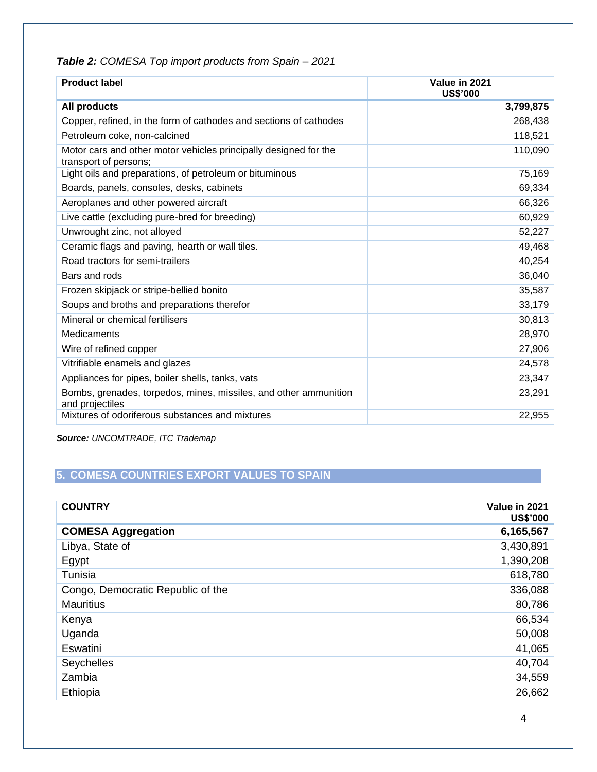| <b>Product label</b>                                                                      | Value in 2021<br><b>US\$'000</b> |
|-------------------------------------------------------------------------------------------|----------------------------------|
| <b>All products</b>                                                                       | 3,799,875                        |
| Copper, refined, in the form of cathodes and sections of cathodes                         | 268,438                          |
| Petroleum coke, non-calcined                                                              | 118,521                          |
| Motor cars and other motor vehicles principally designed for the<br>transport of persons; | 110,090                          |
| Light oils and preparations, of petroleum or bituminous                                   | 75,169                           |
| Boards, panels, consoles, desks, cabinets                                                 | 69,334                           |
| Aeroplanes and other powered aircraft                                                     | 66,326                           |
| Live cattle (excluding pure-bred for breeding)                                            | 60,929                           |
| Unwrought zinc, not alloyed                                                               | 52,227                           |
| Ceramic flags and paving, hearth or wall tiles.                                           | 49,468                           |
| Road tractors for semi-trailers                                                           | 40,254                           |
| Bars and rods                                                                             | 36,040                           |
| Frozen skipjack or stripe-bellied bonito                                                  | 35,587                           |
| Soups and broths and preparations therefor                                                | 33,179                           |
| Mineral or chemical fertilisers                                                           | 30,813                           |
| Medicaments                                                                               | 28,970                           |
| Wire of refined copper                                                                    | 27,906                           |
| Vitrifiable enamels and glazes                                                            | 24,578                           |
| Appliances for pipes, boiler shells, tanks, vats                                          | 23,347                           |
| Bombs, grenades, torpedos, mines, missiles, and other ammunition<br>and projectiles       | 23,291                           |
| Mixtures of odoriferous substances and mixtures                                           | 22,955                           |

# *Table 2: COMESA Top import products from Spain – 2021*

*Source: UNCOMTRADE, ITC Trademap* 

# **5. COMESA COUNTRIES EXPORT VALUES TO SPAIN**

| <b>COUNTRY</b>                    | Value in 2021<br><b>US\$'000</b> |
|-----------------------------------|----------------------------------|
| <b>COMESA Aggregation</b>         | 6,165,567                        |
| Libya, State of                   | 3,430,891                        |
| Egypt                             | 1,390,208                        |
| Tunisia                           | 618,780                          |
| Congo, Democratic Republic of the | 336,088                          |
| <b>Mauritius</b>                  | 80,786                           |
| Kenya                             | 66,534                           |
| Uganda                            | 50,008                           |
| Eswatini                          | 41,065                           |
| Seychelles                        | 40,704                           |
| Zambia                            | 34,559                           |
| Ethiopia                          | 26,662                           |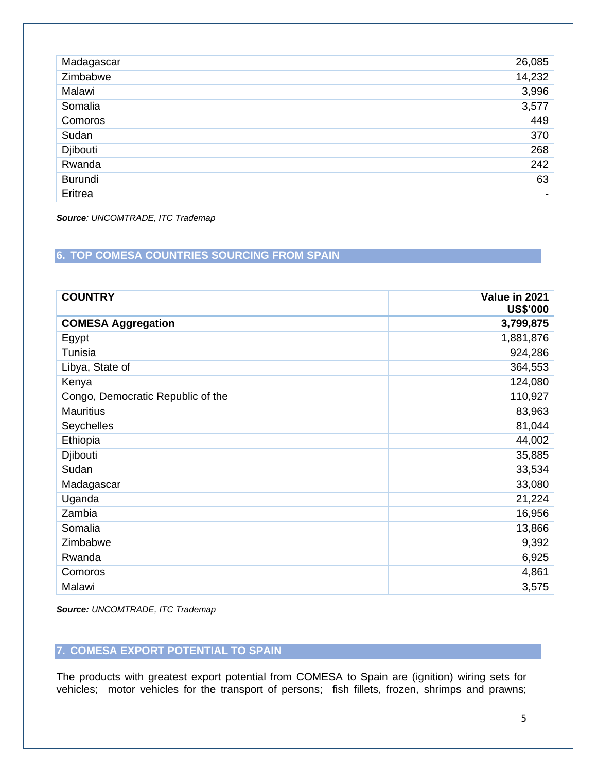| Madagascar | 26,085 |
|------------|--------|
| Zimbabwe   | 14,232 |
| Malawi     | 3,996  |
| Somalia    | 3,577  |
| Comoros    | 449    |
| Sudan      | 370    |
| Djibouti   | 268    |
| Rwanda     | 242    |
| Burundi    | 63     |
| Eritrea    |        |

*Source: UNCOMTRADE, ITC Trademap*

# **6. TOP COMESA COUNTRIES SOURCING FROM SPAIN**

| <b>COUNTRY</b>                    | Value in 2021<br><b>US\$'000</b> |
|-----------------------------------|----------------------------------|
| <b>COMESA Aggregation</b>         | 3,799,875                        |
| Egypt                             | 1,881,876                        |
| Tunisia                           | 924,286                          |
| Libya, State of                   | 364,553                          |
| Kenya                             | 124,080                          |
| Congo, Democratic Republic of the | 110,927                          |
| <b>Mauritius</b>                  | 83,963                           |
| Seychelles                        | 81,044                           |
| Ethiopia                          | 44,002                           |
| Djibouti                          | 35,885                           |
| Sudan                             | 33,534                           |
| Madagascar                        | 33,080                           |
| Uganda                            | 21,224                           |
| Zambia                            | 16,956                           |
| Somalia                           | 13,866                           |
| Zimbabwe                          | 9,392                            |
| Rwanda                            | 6,925                            |
| Comoros                           | 4,861                            |
| Malawi                            | 3,575                            |

*Source: UNCOMTRADE, ITC Trademap*

## **7. COMESA EXPORT POTENTIAL TO SPAIN**

The products with greatest export potential from COMESA to Spain are (ignition) wiring sets for vehicles; motor vehicles for the transport of persons; fish fillets, frozen, shrimps and prawns;